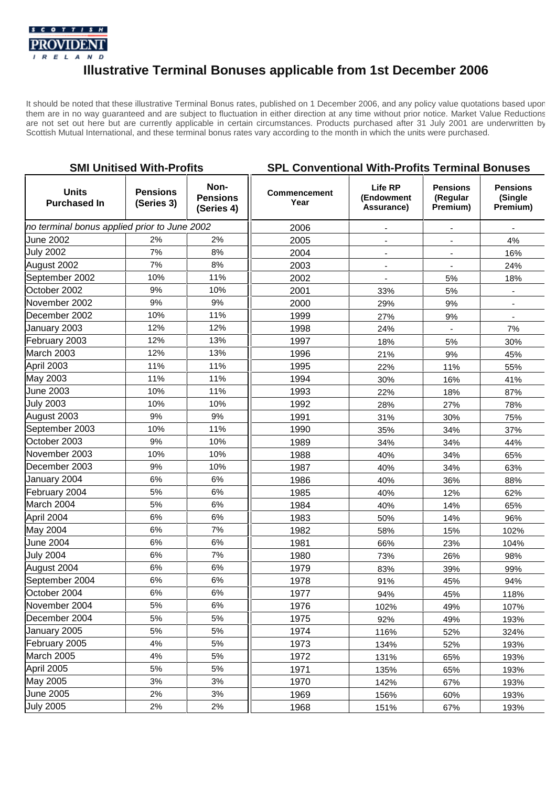

## **Illustrative Terminal Bonuses applicable from 1st December 2006**

It should be noted that these illustrative Terminal Bonus rates, published on 1 December 2006, and any policy value quotations based upon them are in no way guaranteed and are subject to fluctuation in either direction at any time without prior notice. Market Value Reductions are not set out here but are currently applicable in certain circumstances. Products purchased after 31 July 2001 are underwritten by Scottish Mutual International, and these terminal bonus rates vary according to the month in which the units were purchased.

| <b>SMI Unitised With-Profits</b>             |                               |                                       | <b>SPL Conventional With-Profits Terminal Bonuses</b> |                                            |                                         |                                        |
|----------------------------------------------|-------------------------------|---------------------------------------|-------------------------------------------------------|--------------------------------------------|-----------------------------------------|----------------------------------------|
| <b>Units</b><br><b>Purchased In</b>          | <b>Pensions</b><br>(Series 3) | Non-<br><b>Pensions</b><br>(Series 4) | <b>Commencement</b><br>Year                           | <b>Life RP</b><br>(Endowment<br>Assurance) | <b>Pensions</b><br>(Regular<br>Premium) | <b>Pensions</b><br>(Single<br>Premium) |
| no terminal bonus applied prior to June 2002 |                               |                                       | 2006                                                  |                                            |                                         |                                        |
| June 2002                                    | 2%                            | 2%                                    | 2005                                                  |                                            | $\blacksquare$                          | 4%                                     |
| <b>July 2002</b>                             | 7%                            | 8%                                    | 2004                                                  |                                            |                                         | 16%                                    |
| August 2002                                  | 7%                            | 8%                                    | 2003                                                  | $\blacksquare$                             | $\overline{\phantom{a}}$                | 24%                                    |
| September 2002                               | 10%                           | 11%                                   | 2002                                                  |                                            | 5%                                      | 18%                                    |
| October 2002                                 | 9%                            | 10%                                   | 2001                                                  | 33%                                        | 5%                                      | $\overline{\phantom{a}}$               |
| November 2002                                | 9%                            | 9%                                    | 2000                                                  | 29%                                        | 9%                                      |                                        |
| December 2002                                | 10%                           | 11%                                   | 1999                                                  | 27%                                        | 9%                                      | $\blacksquare$                         |
| January 2003                                 | 12%                           | 12%                                   | 1998                                                  | 24%                                        |                                         | 7%                                     |
| February 2003                                | 12%                           | 13%                                   | 1997                                                  | 18%                                        | 5%                                      | 30%                                    |
| March 2003                                   | 12%                           | 13%                                   | 1996                                                  | 21%                                        | 9%                                      | 45%                                    |
| April 2003                                   | 11%                           | 11%                                   | 1995                                                  | 22%                                        | 11%                                     | 55%                                    |
| May 2003                                     | 11%                           | 11%                                   | 1994                                                  | 30%                                        | 16%                                     | 41%                                    |
| June 2003                                    | 10%                           | 11%                                   | 1993                                                  | 22%                                        | 18%                                     | 87%                                    |
| <b>July 2003</b>                             | 10%                           | 10%                                   | 1992                                                  | 28%                                        | 27%                                     | 78%                                    |
| August 2003                                  | 9%                            | 9%                                    | 1991                                                  | 31%                                        | 30%                                     | 75%                                    |
| September 2003                               | 10%                           | 11%                                   | 1990                                                  | 35%                                        | 34%                                     | 37%                                    |
| October 2003                                 | 9%                            | 10%                                   | 1989                                                  | 34%                                        | 34%                                     | 44%                                    |
| November 2003                                | 10%                           | 10%                                   | 1988                                                  | 40%                                        | 34%                                     | 65%                                    |
| December 2003                                | 9%                            | 10%                                   | 1987                                                  | 40%                                        | 34%                                     | 63%                                    |
| January 2004                                 | 6%                            | 6%                                    | 1986                                                  | 40%                                        | 36%                                     | 88%                                    |
| February 2004                                | 5%                            | 6%                                    | 1985                                                  | 40%                                        | 12%                                     | 62%                                    |
| March 2004                                   | 5%                            | 6%                                    | 1984                                                  | 40%                                        | 14%                                     | 65%                                    |
| April 2004                                   | 6%                            | 6%                                    | 1983                                                  | 50%                                        | 14%                                     | 96%                                    |
| May 2004                                     | 6%                            | 7%                                    | 1982                                                  | 58%                                        | 15%                                     | 102%                                   |
| June 2004                                    | 6%                            | 6%                                    | 1981                                                  | 66%                                        | 23%                                     | 104%                                   |
| <b>July 2004</b>                             | $6\%$                         | 7%                                    | 1980                                                  | 73%                                        | 26%                                     | 98%                                    |
| August 2004                                  | 6%                            | 6%                                    | 1979                                                  | 83%                                        | 39%                                     | 99%                                    |
| September 2004                               | 6%                            | $6\%$                                 | 1978                                                  | 91%                                        | 45%                                     | 94%                                    |
| October 2004                                 | 6%                            | 6%                                    | 1977                                                  | 94%                                        | 45%                                     | 118%                                   |
| November 2004                                | $5%$                          | 6%                                    | 1976                                                  | 102%                                       | 49%                                     | 107%                                   |
| December 2004                                | 5%                            | 5%                                    | 1975                                                  | 92%                                        | 49%                                     | 193%                                   |
| January 2005                                 | $5%$                          | 5%                                    | 1974                                                  | 116%                                       | 52%                                     | 324%                                   |
| February 2005                                | 4%                            | 5%                                    | 1973                                                  | 134%                                       | 52%                                     | 193%                                   |
| March 2005                                   | 4%                            | 5%                                    | 1972                                                  | 131%                                       | 65%                                     | 193%                                   |
| April 2005                                   | $5%$                          | 5%                                    | 1971                                                  | 135%                                       | 65%                                     | 193%                                   |
| May 2005                                     | 3%                            | 3%                                    | 1970                                                  | 142%                                       | 67%                                     | 193%                                   |
| <b>June 2005</b>                             | 2%                            | 3%                                    | 1969                                                  | 156%                                       | 60%                                     | 193%                                   |
| <b>July 2005</b>                             | 2%                            | 2%                                    | 1968                                                  | 151%                                       | 67%                                     | 193%                                   |